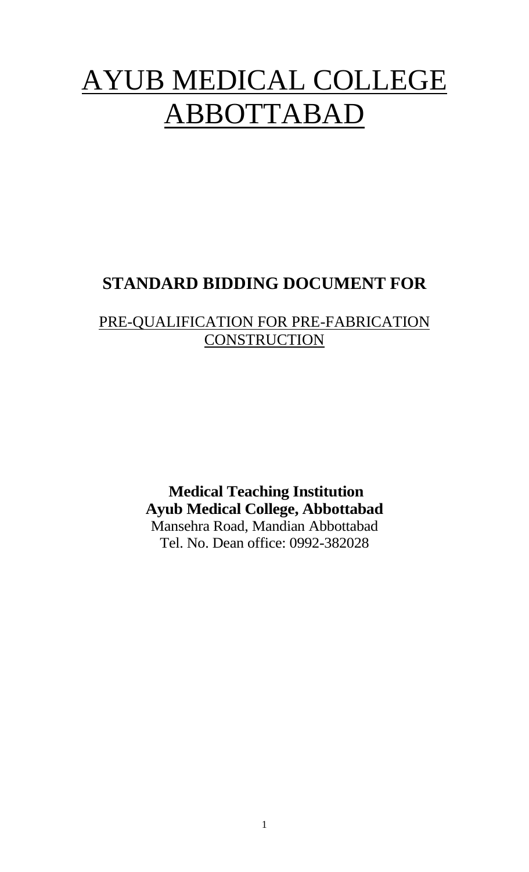# AYUB MEDICAL COLLEGE ABBOTTABAD

# **STANDARD BIDDING DOCUMENT FOR**

## PRE-QUALIFICATION FOR PRE-FABRICATION **CONSTRUCTION**

**Medical Teaching Institution Ayub Medical College, Abbottabad** Mansehra Road, Mandian Abbottabad Tel. No. Dean office: 0992-382028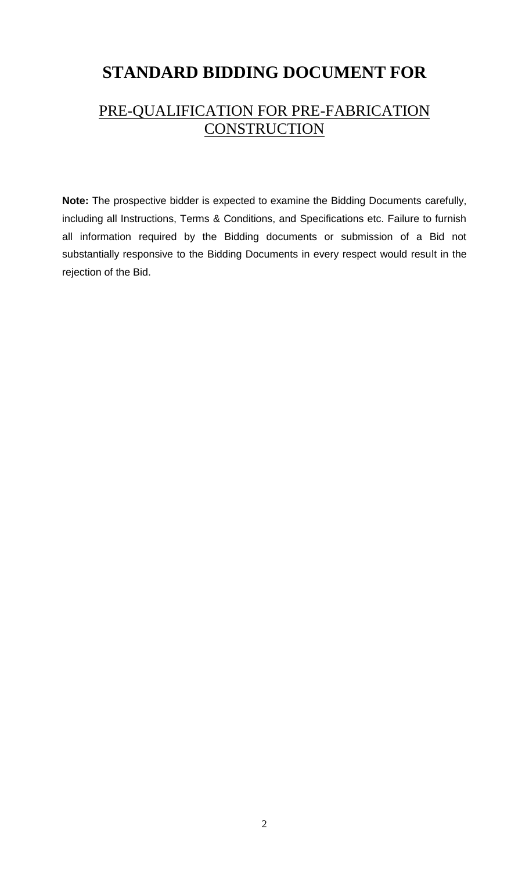# **STANDARD BIDDING DOCUMENT FOR**

## PRE-QUALIFICATION FOR PRE-FABRICATION **CONSTRUCTION**

**Note:** The prospective bidder is expected to examine the Bidding Documents carefully, including all Instructions, Terms & Conditions, and Specifications etc. Failure to furnish all information required by the Bidding documents or submission of a Bid not substantially responsive to the Bidding Documents in every respect would result in the rejection of the Bid.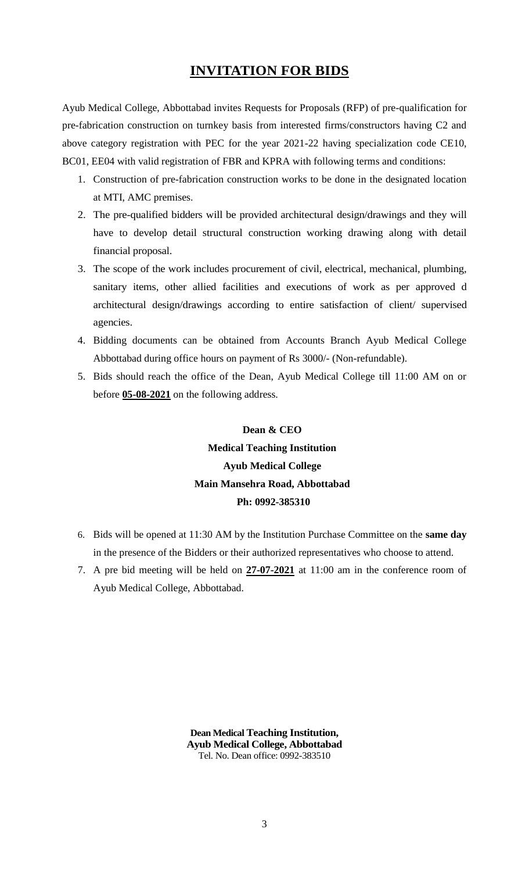#### **INVITATION FOR BIDS**

Ayub Medical College, Abbottabad invites Requests for Proposals (RFP) of pre-qualification for pre-fabrication construction on turnkey basis from interested firms/constructors having C2 and above category registration with PEC for the year 2021-22 having specialization code CE10, BC01, EE04 with valid registration of FBR and KPRA with following terms and conditions:

- 1. Construction of pre-fabrication construction works to be done in the designated location at MTI, AMC premises.
- 2. The pre-qualified bidders will be provided architectural design/drawings and they will have to develop detail structural construction working drawing along with detail financial proposal.
- 3. The scope of the work includes procurement of civil, electrical, mechanical, plumbing, sanitary items, other allied facilities and executions of work as per approved d architectural design/drawings according to entire satisfaction of client/ supervised agencies.
- 4. Bidding documents can be obtained from Accounts Branch Ayub Medical College Abbottabad during office hours on payment of Rs 3000/- (Non-refundable).
- 5. Bids should reach the office of the Dean, Ayub Medical College till 11:00 AM on or before **05-08-2021** on the following address.

## **Dean & CEO Medical Teaching Institution Ayub Medical College Main Mansehra Road, Abbottabad Ph: 0992-385310**

- 6. Bids will be opened at 11:30 AM by the Institution Purchase Committee on the **same day** in the presence of the Bidders or their authorized representatives who choose to attend.
- 7. A pre bid meeting will be held on **27-07-2021** at 11:00 am in the conference room of Ayub Medical College, Abbottabad.

**Dean Medical Teaching Institution, Ayub Medical College, Abbottabad** Tel. No. Dean office: 0992-383510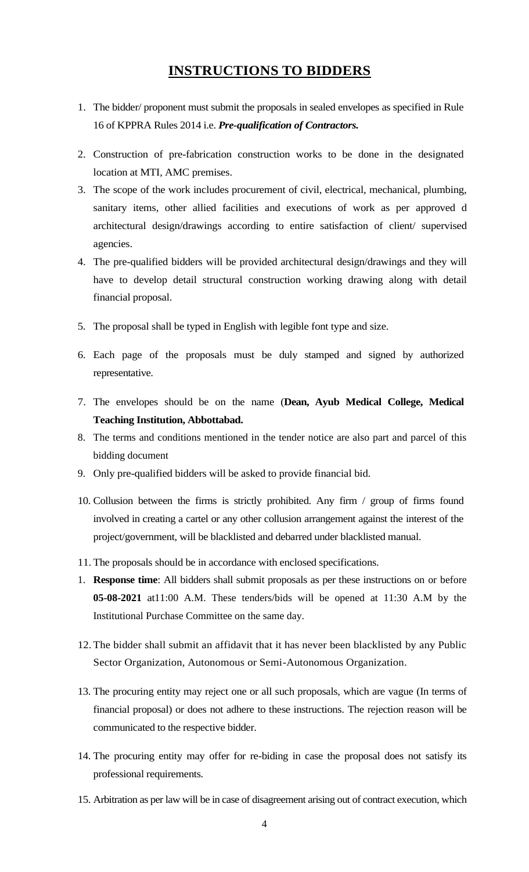## **INSTRUCTIONS TO BIDDERS**

- 1. The bidder/ proponent must submit the proposals in sealed envelopes as specified in Rule 16 of KPPRA Rules 2014 i.e. *Pre-qualification of Contractors.*
- 2. Construction of pre-fabrication construction works to be done in the designated location at MTI, AMC premises.
- 3. The scope of the work includes procurement of civil, electrical, mechanical, plumbing, sanitary items, other allied facilities and executions of work as per approved d architectural design/drawings according to entire satisfaction of client/ supervised agencies.
- 4. The pre-qualified bidders will be provided architectural design/drawings and they will have to develop detail structural construction working drawing along with detail financial proposal.
- 5. The proposal shall be typed in English with legible font type and size.
- 6. Each page of the proposals must be duly stamped and signed by authorized representative.
- 7. The envelopes should be on the name (**Dean, Ayub Medical College, Medical Teaching Institution, Abbottabad.**
- 8. The terms and conditions mentioned in the tender notice are also part and parcel of this bidding document
- 9. Only pre-qualified bidders will be asked to provide financial bid.
- 10. Collusion between the firms is strictly prohibited. Any firm / group of firms found involved in creating a cartel or any other collusion arrangement against the interest of the project/government, will be blacklisted and debarred under blacklisted manual.
- 11. The proposals should be in accordance with enclosed specifications.
- 1. **Response time**: All bidders shall submit proposals as per these instructions on or before **05-08-2021** at11:00 A.M. These tenders/bids will be opened at 11:30 A.M by the Institutional Purchase Committee on the same day.
- 12. The bidder shall submit an affidavit that it has never been blacklisted by any Public Sector Organization, Autonomous or Semi-Autonomous Organization.
- 13. The procuring entity may reject one or all such proposals, which are vague (In terms of financial proposal) or does not adhere to these instructions. The rejection reason will be communicated to the respective bidder.
- 14. The procuring entity may offer for re-biding in case the proposal does not satisfy its professional requirements.
- 15. Arbitration as per law will be in case of disagreement arising out of contract execution, which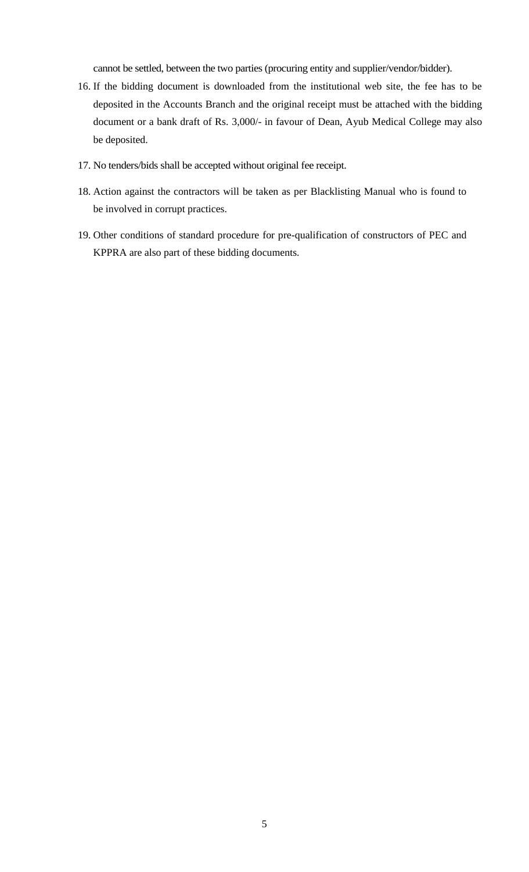cannot be settled, between the two parties (procuring entity and supplier/vendor/bidder).

- 16. If the bidding document is downloaded from the institutional web site, the fee has to be deposited in the Accounts Branch and the original receipt must be attached with the bidding document or a bank draft of Rs. 3,000/- in favour of Dean, Ayub Medical College may also be deposited.
- 17. No tenders/bids shall be accepted without original fee receipt.
- 18. Action against the contractors will be taken as per Blacklisting Manual who is found to be involved in corrupt practices.
- 19. Other conditions of standard procedure for pre-qualification of constructors of PEC and KPPRA are also part of these bidding documents.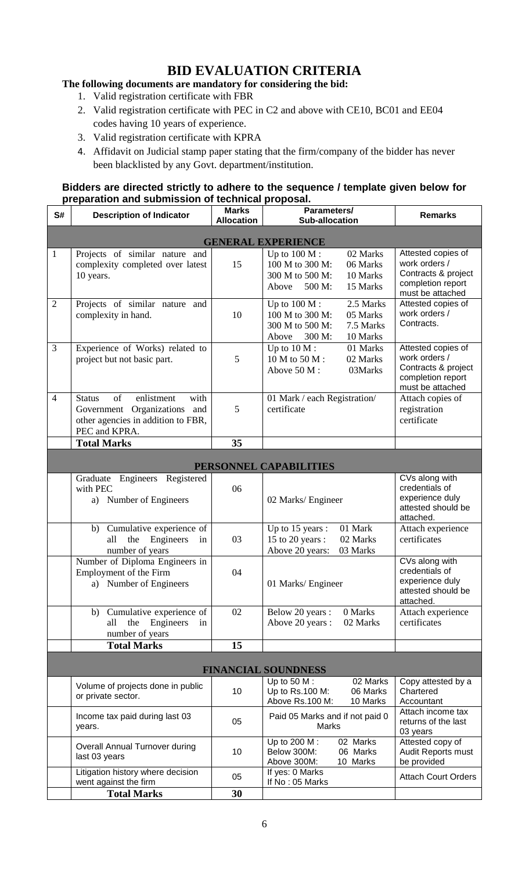### **BID EVALUATION CRITERIA**

#### **The following documents are mandatory for considering the bid:**

- 1. Valid registration certificate with FBR
- 2. Valid registration certificate with PEC in C2 and above with CE10, BC01 and EE04 codes having 10 years of experience.
- 3. Valid registration certificate with KPRA
- 4. Affidavit on Judicial stamp paper stating that the firm/company of the bidder has never been blacklisted by any Govt. department/institution.

#### **Bidders are directed strictly to adhere to the sequence / template given below for preparation and submission of technical proposal.**

| S#                         | <b>Description of Indicator</b>                                                                                                  | <b>Marks</b><br><b>Allocation</b> | Parameters/<br><b>Sub-allocation</b>                                     |                                                | <b>Remarks</b>                                                                                      |  |  |  |
|----------------------------|----------------------------------------------------------------------------------------------------------------------------------|-----------------------------------|--------------------------------------------------------------------------|------------------------------------------------|-----------------------------------------------------------------------------------------------------|--|--|--|
| <b>GENERAL EXPERIENCE</b>  |                                                                                                                                  |                                   |                                                                          |                                                |                                                                                                     |  |  |  |
| $\mathbf{1}$               | Projects of similar nature and<br>complexity completed over latest<br>10 years.                                                  | 15                                | Up to $100 M$ :<br>100 M to 300 M:<br>300 M to 500 M:<br>Above<br>500 M: | 02 Marks<br>06 Marks<br>10 Marks<br>15 Marks   | Attested copies of<br>work orders /<br>Contracts & project<br>completion report<br>must be attached |  |  |  |
| $\overline{2}$             | Projects of similar nature and<br>complexity in hand.                                                                            | 10                                | Up to $100 M$ :<br>100 M to 300 M:<br>300 M to 500 M:<br>300 M:<br>Above | 2.5 Marks<br>05 Marks<br>7.5 Marks<br>10 Marks | Attested copies of<br>work orders /<br>Contracts.                                                   |  |  |  |
| 3                          | Experience of Works) related to<br>project but not basic part.                                                                   | 5                                 | Up to $10 M$ :<br>10 M to 50 M:<br>Above 50 M:                           | 01 Marks<br>02 Marks<br>03Marks                | Attested copies of<br>work orders /<br>Contracts & project<br>completion report<br>must be attached |  |  |  |
| $\overline{4}$             | of<br>enlistment<br>with<br><b>Status</b><br>Government Organizations and<br>other agencies in addition to FBR,<br>PEC and KPRA. | 5                                 | 01 Mark / each Registration/<br>certificate                              |                                                | Attach copies of<br>registration<br>certificate                                                     |  |  |  |
|                            | <b>Total Marks</b>                                                                                                               | 35                                |                                                                          |                                                |                                                                                                     |  |  |  |
|                            |                                                                                                                                  |                                   |                                                                          |                                                |                                                                                                     |  |  |  |
|                            |                                                                                                                                  |                                   | PERSONNEL CAPABILITIES                                                   |                                                |                                                                                                     |  |  |  |
|                            | Engineers Registered<br>Graduate<br>with PEC<br>a) Number of Engineers                                                           | 06                                | 02 Marks/ Engineer                                                       |                                                | CVs along with<br>credentials of<br>experience duly<br>attested should be<br>attached.              |  |  |  |
|                            | Cumulative experience of<br>b)<br>the<br>all<br>Engineers<br>in<br>number of years                                               | 03                                | Up to 15 years :<br>15 to 20 years :<br>Above 20 years:                  | 01 Mark<br>02 Marks<br>03 Marks                | Attach experience<br>certificates                                                                   |  |  |  |
|                            | Number of Diploma Engineers in<br>Employment of the Firm<br>a) Number of Engineers                                               | 04                                | 01 Marks/ Engineer                                                       |                                                | CVs along with<br>credentials of<br>experience duly<br>attested should be<br>attached.              |  |  |  |
|                            | b) Cumulative experience of<br>all<br>the<br>Engineers<br>in<br>number of years                                                  | 02                                | Below 20 years :<br>Above 20 years :                                     | 0 Marks<br>02 Marks                            | Attach experience<br>certificates                                                                   |  |  |  |
|                            | <b>Total Marks</b>                                                                                                               | 15                                |                                                                          |                                                |                                                                                                     |  |  |  |
| <b>FINANCIAL SOUNDNESS</b> |                                                                                                                                  |                                   |                                                                          |                                                |                                                                                                     |  |  |  |
|                            | Volume of projects done in public<br>or private sector.                                                                          | 10                                | Up to 50 $M$ :<br>Up to Rs.100 M:<br>Above Rs.100 M:                     | 02 Marks<br>06 Marks<br>10 Marks               | Copy attested by a<br>Chartered<br>Accountant                                                       |  |  |  |
|                            | Income tax paid during last 03<br>years.                                                                                         | 05                                | Paid 05 Marks and if not paid 0<br>Marks                                 |                                                | Attach income tax<br>returns of the last<br>03 years                                                |  |  |  |
|                            | Overall Annual Turnover during<br>last 03 years                                                                                  | 10                                | Up to 200 M:<br>Below 300M:<br>Above 300M:                               | 02 Marks<br>06 Marks<br>10 Marks               | Attested copy of<br>Audit Reports must<br>be provided                                               |  |  |  |
|                            | Litigation history where decision<br>went against the firm                                                                       | 05                                | If yes: 0 Marks<br>If No: 05 Marks                                       |                                                | <b>Attach Court Orders</b>                                                                          |  |  |  |
|                            | <b>Total Marks</b>                                                                                                               | 30                                |                                                                          |                                                |                                                                                                     |  |  |  |